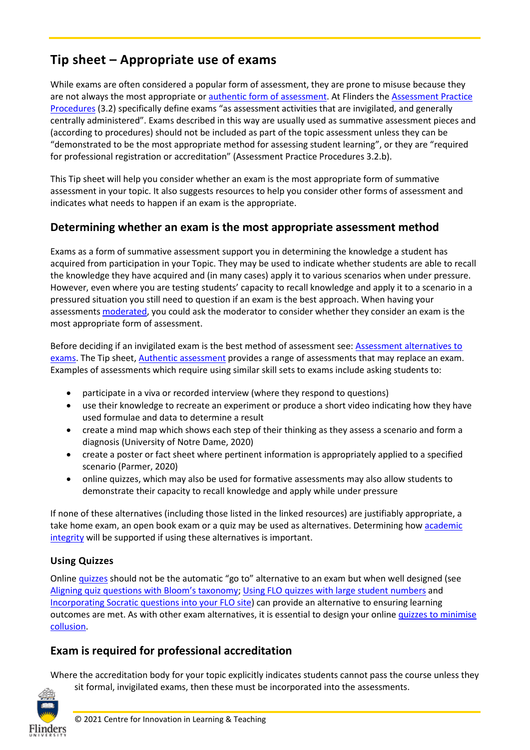# **Tip sheet – Appropriate use of exams**

While exams are often considered a popular form of assessment, they are prone to misuse because they are not always the most appropriate or [authentic form of assessment.](https://staff.flinders.edu.au/content/dam/staff/learning-teaching/guides/authentic-assessment.pdf) At Flinders the [Assessment Practice](https://www.flinders.edu.au/content/dam/documents/staff/policies/academic-students/assessment-practice-procedures.pdf)  [Procedures](https://www.flinders.edu.au/content/dam/documents/staff/policies/academic-students/assessment-practice-procedures.pdf) (3.2) specifically define exams "as assessment activities that are invigilated, and generally centrally administered". Exams described in this way are usually used as summative assessment pieces and (according to procedures) should not be included as part of the topic assessment unless they can be "demonstrated to be the most appropriate method for assessing student learning", or they are "required for professional registration or accreditation" (Assessment Practice Procedures 3.2.b).

This Tip sheet will help you consider whether an exam is the most appropriate form of summative assessment in your topic. It also suggests resources to help you consider other forms of assessment and indicates what needs to happen if an exam is the appropriate.

### **Determining whether an exam is the most appropriate assessment method**

Exams as a form of summative assessment support you in determining the knowledge a student has acquired from participation in your Topic. They may be used to indicate whether students are able to recall the knowledge they have acquired and (in many cases) apply it to various scenarios when under pressure. However, even where you are testing students' capacity to recall knowledge and apply it to a scenario in a pressured situation you still need to question if an exam is the best approach. When having your assessments [moderated,](https://staff.flinders.edu.au/learning-teaching/good-practice-guides/gpg-moderation) you could ask the moderator to consider whether they consider an exam is the most appropriate form of assessment.

Before deciding if an invigilated exam is the best method of assessment see: [Assessment alternatives to](https://staff.flinders.edu.au/content/dam/staff/learning-teaching/guides/exam-alternatives-resource.pdf)  [exams.](https://staff.flinders.edu.au/content/dam/staff/learning-teaching/guides/exam-alternatives-resource.pdf) The Tip sheet, [Authentic assessment](https://staff.flinders.edu.au/content/dam/staff/learning-teaching/guides/authentic-assessment.pdf) provides a range of assessments that may replace an exam. Examples of assessments which require using similar skill sets to exams include asking students to:

- participate in a viva or recorded interview (where they respond to questions)
- use their knowledge to recreate an experiment or produce a short video indicating how they have used formulae and data to determine a result
- create a mind map which shows each step of their thinking as they assess a scenario and form a diagnosis (University of Notre Dame, 2020)
- create a poster or fact sheet where pertinent information is appropriately applied to a specified scenario (Parmer, 2020)
- online quizzes, which may also be used for formative assessments may also allow students to demonstrate their capacity to recall knowledge and apply while under pressure

If none of these alternatives (including those listed in the linked resources) are justifiably appropriate, a take home exam, an open book exam or a quiz may be used as alternatives. Determining how [academic](https://staff.flinders.edu.au/content/dam/staff/learning-teaching/guides/designing-assessment-support-ai.pdf)  [integrity](https://staff.flinders.edu.au/content/dam/staff/learning-teaching/guides/designing-assessment-support-ai.pdf) will be supported if using these alternatives is important.

#### **Using Quizzes**

Onlin[e quizzes](https://flo.flinders.edu.au/mod/glossary/showentry.php?courseid=151&eid=52088&displayformat=dictionary) should not be the automatic "go to" alternative to an exam but when well designed (see [Aligning quiz questions with Bloom's taxonomy;](https://staff.flinders.edu.au/content/dam/staff/learning-teaching/guides/aligning-questions-bloom-taxonomy.pdf) [Using FLO quizzes with large student numbers](https://staff.flinders.edu.au/content/dam/staff/learning-teaching/guides/quiz-large-student-numbers.pdf) and Incorporating [Socratic questions into your FLO site\)](https://staff.flinders.edu.au/content/dam/staff/learning-teaching/guides/socratic-questions.pdf) can provide an alternative to ensuring learning outcomes are met. As with other exam alternatives, it is essential to design your onlin[e quizzes to minimise](https://staff.flinders.edu.au/content/dam/staff/learning-teaching/guides/tipsheet-designing-online-quizzes.pdf)  [collusion.](https://staff.flinders.edu.au/content/dam/staff/learning-teaching/guides/tipsheet-designing-online-quizzes.pdf)

# **Exam is required for professional accreditation**

Where the accreditation body for your topic explicitly indicates students cannot pass the course unless they sit formal, invigilated exams, then these must be incorporated into the assessments.